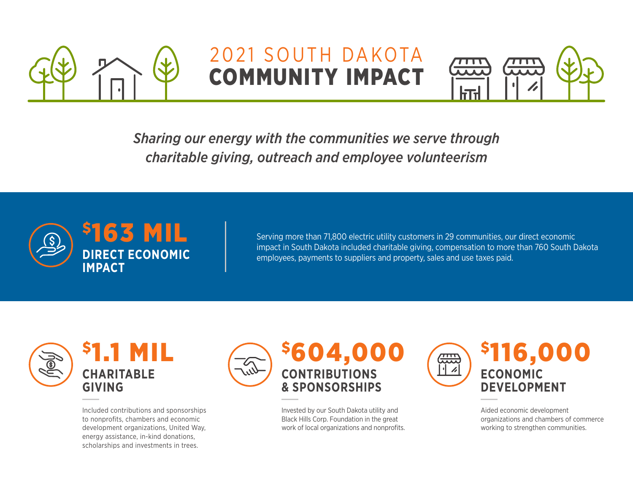

## 2021 SOUTH DAKOTA COMMUNITY IMPACT



*Sharing our energy with the communities we serve through charitable giving, outreach and employee volunteerism*



Serving more than 71,800 electric utility customers in 29 communities, our direct economic impact in South Dakota included charitable giving, compensation to more than 760 South Dakota employees, payments to suppliers and property, sales and use taxes paid.



Included contributions and sponsorships to nonprofits, chambers and economic development organizations, United Way, energy assistance, in-kind donations, scholarships and investments in trees.



Invested by our South Dakota utility and Black Hills Corp. Foundation in the great work of local organizations and nonprofits.



Aided economic development organizations and chambers of commerce working to strengthen communities.